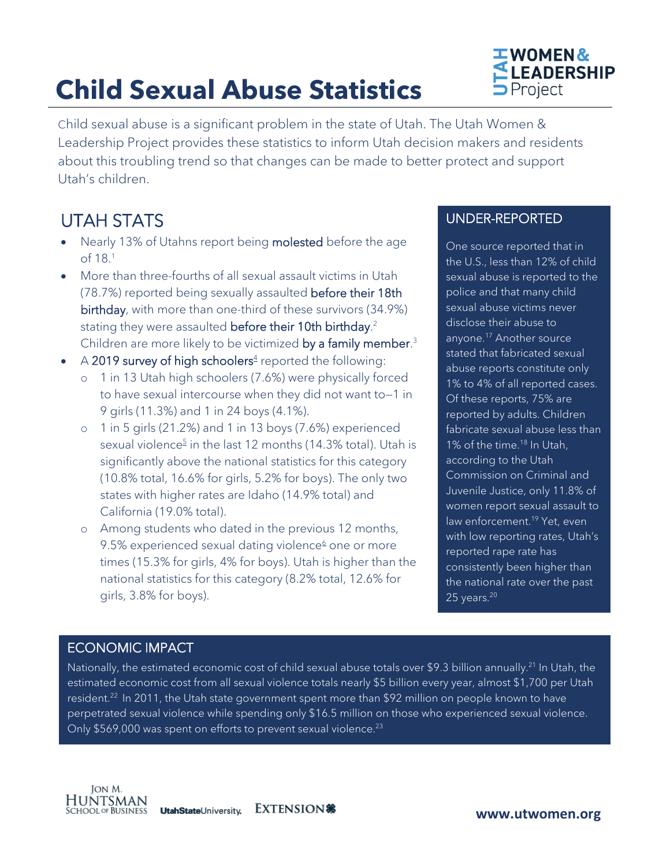# **Child Sexual Abuse Statistics**



Child sexual abuse is a significant problem in the state of Utah. The Utah Women & Leadership Project provides these statistics to inform Utah decision makers and residents about this troubling trend so that changes can be made to better protect and support Utah's children.

### UTAH STATS

- Nearly 13% of Utahns report being molested before the age of 18[.1](#page-2-0)
- More than three-fourths of all sexual assault victims in Utah (78.7%) reported being sexually assaulted before their 18th birthday, with more than one-third of these survivors (34.9%) stating they were assaulted **before their 10th birthday**[.](#page-2-1)<sup>2</sup> Children are more likely to be victimized **by a family member**[.](#page-2-2)<sup>3</sup>
- A 2019 survey of high schoolers<sup>4</sup> reported the following:
	- o 1 in 13 Utah high schoolers (7.6%) were physically forced to have sexual intercourse when they did not want to—1 in 9 girls (11.3%) and 1 in 24 boys (4.1%).
	- o 1 in 5 girls (21.2%) and 1 in 13 boys (7.6%) experienced sexual violence<sup>5</sup> in the last 12 months (14.3% total). Utah is significantly above the national statistics for this category (10.8% total, 16.6% for girls, 5.2% for boys). The only two states with higher rates are Idaho (14.9% total) and California (19.0% total).
	- o Among students who dated in the previous 12 months, 9.5% experienced sexual dating violence $6$  one or more times (15.3% for girls, 4% for boys). Utah is higher than the national statistics for this category (8.2% total, 12.6% for girls, 3.8% for boys).

### UNDER-REPORTED

One source reported that in the U.S., less than 12% of child sexual abuse is reported to the police and that many child sexual abuse victims never disclose their abuse to anyone.<sup>17</sup> Another source stated that fabricated sexual abuse reports constitute only 1% to 4% of all reported cases. Of these reports, 75% are reported by adults. Children fabricate sexual abuse less than 1% of the time.<sup>18</sup> In Utah, according to the Utah Commission on Criminal and Juvenile Justice, only 11.8% of women report sexual assault to law enforcement.<sup>19</sup> Yet, even with low reporting rates, Utah's reported rape rate has consistently been higher than the national rate over the past 25 years. $20$ 

### ECONOMIC IMPACT

Nationally, the estimated economic cost of child sexual abuse totals over \$9.3 billion annually. [21](#page-2-10) In Utah, the estimated economic cost from all sexual violence totals nearly \$5 billion every year, almost \$1,700 per Utah resident.<sup>22</sup> In 2011, the Utah state government spent more than \$92 million on people known to have perpetrated sexual violence while spending only \$16.5 million on those who experienced sexual violence. Only \$569,000 was spent on efforts to prevent sexual violence.<sup>23</sup>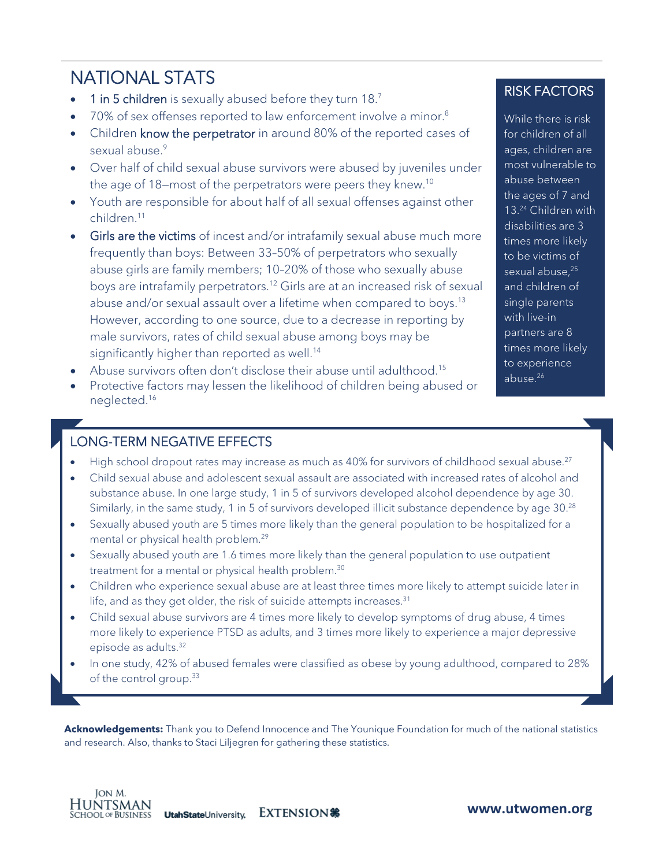## NATIONAL STATS

- 1 in 5 children is sexually abused before they turn 18[.7](#page-2-13)
- 70% of sex offenses reported to law enforcement involve a minor.<sup>8</sup>
- Children know the perpetrator in around 80% of the reported cases of sexual abuse. [9](#page-2-15)
- Over half of child sexual abuse survivors were abused by juveniles under the age of 18—most of the perpetrators were peers they knew[.10](#page-2-16)
- Youth are responsible for about half of all sexual offenses against other children[.11](#page-2-17)
- Girls are the victims of incest and/or intrafamily sexual abuse much more frequently than boys: Between 33–50% of perpetrators who sexually abuse girls are family members; 10–20% of those who sexually abuse boys are intrafamily perpetrators[.12](#page-2-18) Girls are at an increased risk of sexual abuse and/or sexual assault over a lifetime when compared to boys.<sup>[13](#page-2-19)</sup> However, according to one source, due to a decrease in reporting by male survivors, rates of child sexual abuse among boys may be significantly higher than reported as well.<sup>14</sup>
- Abuse survivors often don't disclose their abuse until adulthood[.15](#page-2-21)
- Protective factors may lessen the likelihood of children being abused or neglected[.16](#page-2-22)

### RISK FACTORS

While there is risk for children of all ages, children are most vulnerable to abuse between the ages of 7 and 13[.24](#page-2-23) Children with disabilities are 3 times more likely to be victims of sexual abuse,<sup>25</sup> and children of single parents with live-in partners are 8 times more likely to experience abuse.<sup>26</sup>

### LONG-TERM NEGATIVE EFFECTS

- High school dropout rates may increase as much as 40% for survivors of childhood sexual abuse.<sup>27</sup>
- Child sexual abuse and adolescent sexual assault are associated with increased rates of alcohol and substance abuse. In one large study, 1 in 5 of survivors developed alcohol dependence by age 30. Similarly, in the same study, 1 in 5 of survivors developed illicit substance dependence by age 30.<sup>28</sup>
- Sexually abused youth are 5 times more likely than the general population to be hospitalized for a mental or physical health problem.<sup>29</sup>
- Sexually abused youth are 1.6 times more likely than the general population to use outpatient treatment for a mental or physical health problem.<sup>30</sup>
- Children who experience sexual abuse are at least three times more likely to attempt suicide later in life, and as they get older, the risk of suicide attempts increases.<sup>31</sup>
- Child sexual abuse survivors are 4 times more likely to develop symptoms of drug abuse, 4 times more likely to experience PTSD as adults, and 3 times more likely to experience a major depressive episode as adults[.32](#page-2-31)
- In one study, 42% of abused females were classified as obese by young adulthood, compared to 28% of the control group.<sup>33</sup>

**Acknowledgements:** Thank you to Defend Innocence and The Younique Foundation for much of the national statistics and research. Also, thanks to Staci Liljegren for gathering these statistics.